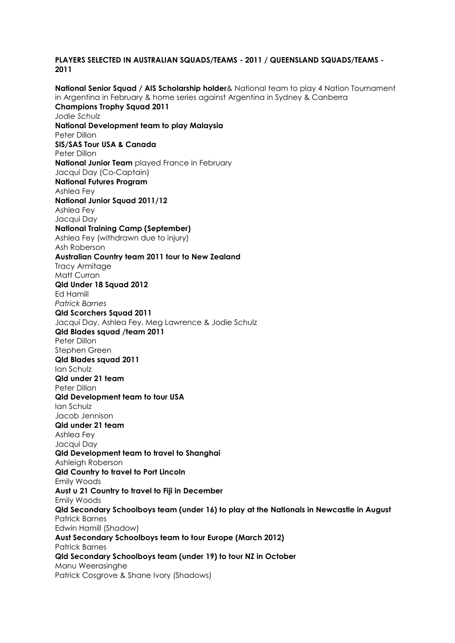## **PLAYERS SELECTED IN AUSTRALIAN SQUADS/TEAMS - 2011 / QUEENSLAND SQUADS/TEAMS - 2011**

**National Senior Squad / AIS Scholarship holder**& National team to play 4 Nation Tournament in Argentina in February & home series against Argentina in Sydney & Canberra **Champions Trophy Squad 2011** *Jodie Schulz* **National Development team to play Malaysia** Peter Dillon **SIS/SAS Tour USA & Canada** Peter Dillon **National Junior Team** played France in February Jacqui Day (Co-Captain) **National Futures Program**  Ashlea Fey **National Junior Squad 2011/12** Ashlea Fey Jacqui Day **National Training Camp (September)** Ashlea Fey (withdrawn due to injury) Ash Roberson **Australian Country team 2011 tour to New Zealand** Tracy Armitage Matt Curran **Qld Under 18 Squad 2012** Ed Hamill *Patrick Barnes*  **Qld Scorchers Squad 2011** Jacqui Day, Ashlea Fey, Meg Lawrence & Jodie Schulz **Qld Blades squad /team 2011** Peter Dillon Stephen Green **Qld Blades squad 2011** Ian Schulz **Qld under 21 team** Peter Dillon **Qld Development team to tour USA** Ian Schulz Jacob Jennison **Qld under 21 team** Ashlea Fey Jacqui Day **Qld Development team to travel to Shanghai** Ashleigh Roberson **Qld Country to travel to Port Lincoln** Emily Woods **Aust u 21 Country to travel to Fiji in December** Emily Woods **Qld Secondary Schoolboys team (under 16) to play at the Nationals in Newcastle in August** Patrick Barnes Edwin Hamill (Shadow) **Aust Secondary Schoolboys team to tour Europe (March 2012)** Patrick Barnes **Qld Secondary Schoolboys team (under 19) to tour NZ in October** Manu Weerasinghe Patrick Cosgrove & Shane Ivory (Shadows)